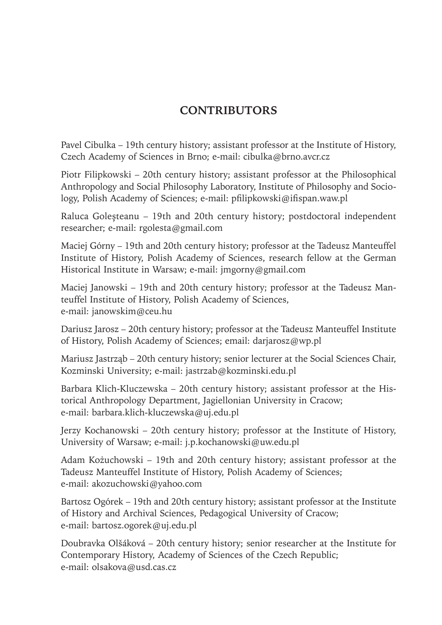## **CONTRIBUTORS**

Pavel Cibulka – 19th century history; assistant professor at the Institute of History, Czech Academy of Sciences in Brno; e-mail: cibulka@brno.avcr.cz

Piotr Filipkowski – 20th century history; assistant professor at the Philosophical Anthropology and Social Philosophy Laboratory, Institute of Philosophy and Sociology, Polish Academy of Sciences; e-mail: pfilipkowski@ifispan.waw.pl

Raluca Goleșteanu – 19th and 20th century history; postdoctoral independent researcher; e-mail: rgolesta@gmail.com

Maciej Górny – 19th and 20th century history; professor at the Tadeusz Manteuffel Institute of History, Polish Academy of Sciences, research fellow at the German Historical Institute in Warsaw; e-mail: jmgorny@gmail.com

Maciej Janowski – 19th and 20th century history; professor at the Tadeusz Manteuffel Institute of History, Polish Academy of Sciences, e-mail: janowskim@ceu.hu

Dariusz Jarosz – 20th century history; professor at the Tadeusz Manteuffel Institute of History, Polish Academy of Sciences; email: darjarosz@wp.pl

Mariusz Jastrząb – 20th century history; senior lecturer at the Social Sciences Chair, Kozminski University; e-mail: jastrzab@kozminski.edu.pl

Barbara Klich-Kluczewska – 20th century history; assistant professor at the Historical Anthropology Department, Jagiellonian University in Cracow; e-mail: barbara.klich-kluczewska@uj.edu.pl

Jerzy Kochanowski – 20th century history; professor at the Institute of History, University of Warsaw; e-mail: j.p.kochanowski@uw.edu.pl

Adam Kożuchowski – 19th and 20th century history; assistant professor at the Tadeusz Manteuffel Institute of History, Polish Academy of Sciences; e-mail: akozuchowski@yahoo.com

Bartosz Ogórek – 19th and 20th century history; assistant professor at the Institute of History and Archival Sciences, Pedagogical University of Cracow; e-mail: bartosz.ogorek@uj.edu.pl

Doubravka Olšáková – 20th century history; senior researcher at the Institute for Contemporary History, Academy of Sciences of the Czech Republic; e-mail: olsakova@usd.cas.cz